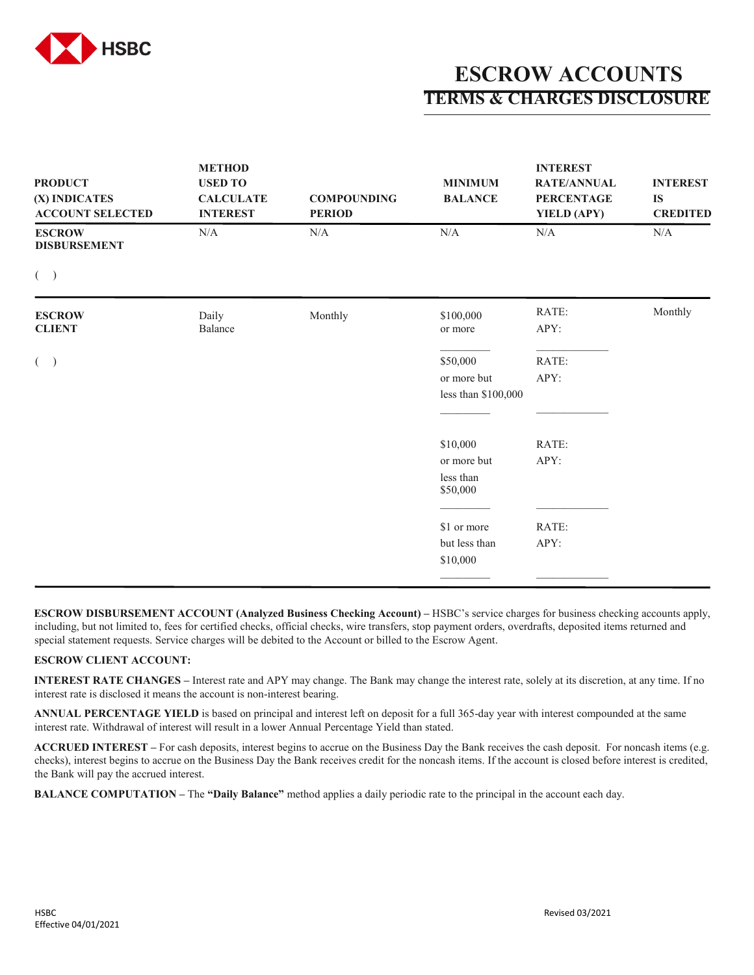

## **ESCROW ACCOUNTS TERMS & CHARGES DISCLOSURE**

| <b>PRODUCT</b><br>(X) INDICATES<br><b>ACCOUNT SELECTED</b> | <b>METHOD</b><br><b>USED TO</b><br><b>CALCULATE</b><br><b>INTEREST</b> | <b>COMPOUNDING</b><br><b>PERIOD</b> | <b>MINIMUM</b><br><b>BALANCE</b>                 | <b>INTEREST</b><br><b>RATE/ANNUAL</b><br><b>PERCENTAGE</b><br>YIELD (APY) | <b>INTEREST</b><br><b>IS</b><br><b>CREDITED</b> |
|------------------------------------------------------------|------------------------------------------------------------------------|-------------------------------------|--------------------------------------------------|---------------------------------------------------------------------------|-------------------------------------------------|
| <b>ESCROW</b><br><b>DISBURSEMENT</b>                       | N/A                                                                    | N/A                                 | $\rm N/A$                                        | $\rm N/A$                                                                 | $\rm N/A$                                       |
| $($ )                                                      |                                                                        |                                     |                                                  |                                                                           |                                                 |
| <b>ESCROW</b><br><b>CLIENT</b>                             | Daily<br>Balance                                                       | Monthly                             | \$100,000<br>or more                             | RATE:<br>APY:                                                             | Monthly                                         |
| $($ )                                                      |                                                                        |                                     | \$50,000<br>or more but<br>less than \$100,000   | RATE:<br>APY:                                                             |                                                 |
|                                                            |                                                                        |                                     | \$10,000<br>or more but<br>less than<br>\$50,000 | RATE:<br>APY:                                                             |                                                 |
|                                                            |                                                                        |                                     | \$1 or more<br>but less than<br>\$10,000         | RATE:<br>APY:                                                             |                                                 |

**ESCROW DISBURSEMENT ACCOUNT (Analyzed Business Checking Account) –** HSBC's service charges for business checking accounts apply, including, but not limited to, fees for certified checks, official checks, wire transfers, stop payment orders, overdrafts, deposited items returned and special statement requests. Service charges will be debited to the Account or billed to the Escrow Agent.

## **ESCROW CLIENT ACCOUNT:**

**INTEREST RATE CHANGES –** Interest rate and APY may change. The Bank may change the interest rate, solely at its discretion, at any time. If no interest rate is disclosed it means the account is non-interest bearing.

**ANNUAL PERCENTAGE YIELD** is based on principal and interest left on deposit for a full 365-day year with interest compounded at the same interest rate. Withdrawal of interest will result in a lower Annual Percentage Yield than stated.

**ACCRUED INTEREST –** For cash deposits, interest begins to accrue on the Business Day the Bank receives the cash deposit. For noncash items (e.g. checks), interest begins to accrue on the Business Day the Bank receives credit for the noncash items. If the account is closed before interest is credited, the Bank will pay the accrued interest.

**BALANCE COMPUTATION –** The **"Daily Balance"** method applies a daily periodic rate to the principal in the account each day.